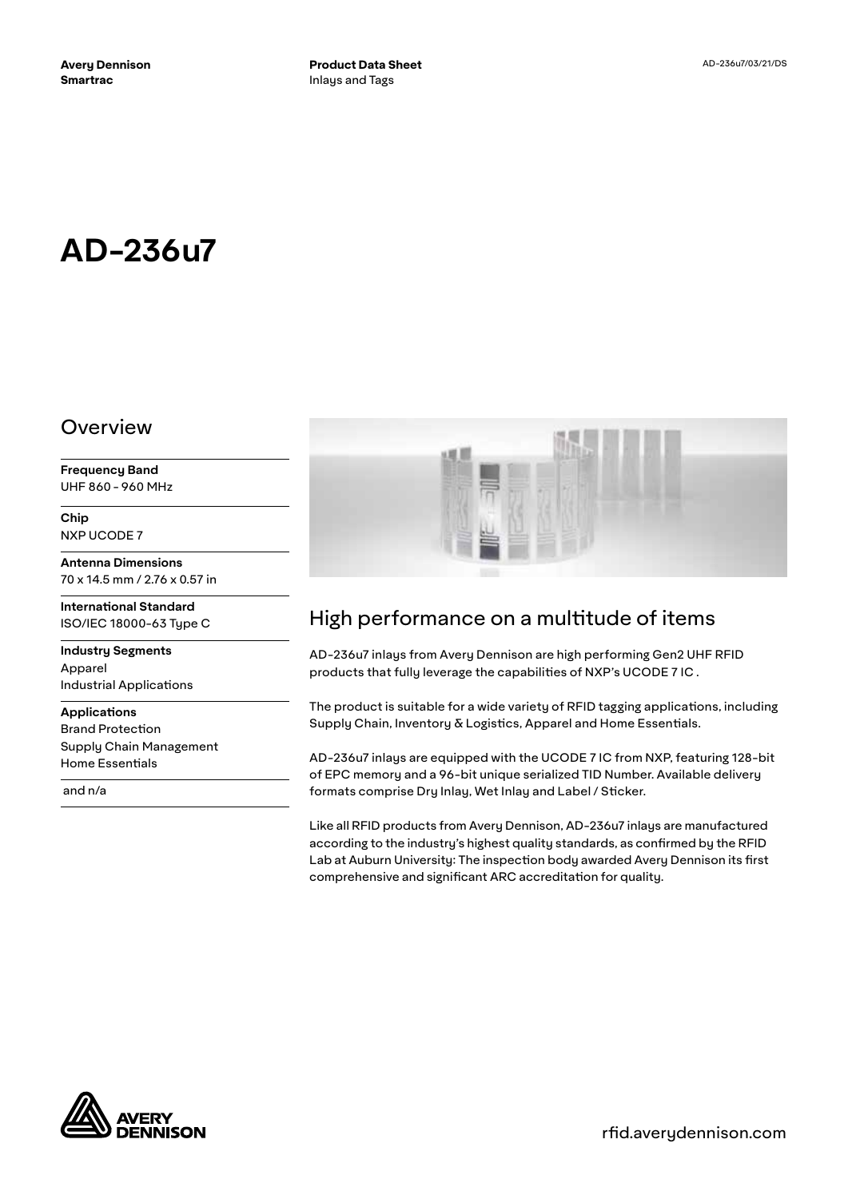# **AD-236u7**

#### Overview

**Frequency Band** UHF 860 - 960 MHz

**Chip** NXP UCODE 7

**Antenna Dimensions** 70 x 14.5 mm / 2.76 x 0.57 in

**International Standard** ISO/IEC 18000-63 Type C

**Industry Segments** Apparel Industrial Applications

**Applications** Brand Protection Supply Chain Management Home Essentials

and n/a



## High performance on a multitude of items

AD-236u7 inlays from Avery Dennison are high performing Gen2 UHF RFID products that fully leverage the capabilities of NXP's UCODE 7 IC .

The product is suitable for a wide variety of RFID tagging applications, including Supply Chain, Inventory & Logistics, Apparel and Home Essentials.

AD-236u7 inlays are equipped with the UCODE 7 IC from NXP, featuring 128-bit of EPC memory and a 96-bit unique serialized TID Number. Available delivery formats comprise Dry Inlay, Wet Inlay and Label / Sticker.

Like all RFID products from Avery Dennison, AD-236u7 inlays are manufactured according to the industry's highest quality standards, as confirmed by the RFID Lab at Auburn University: The inspection body awarded Avery Dennison its first comprehensive and significant ARC accreditation for quality.